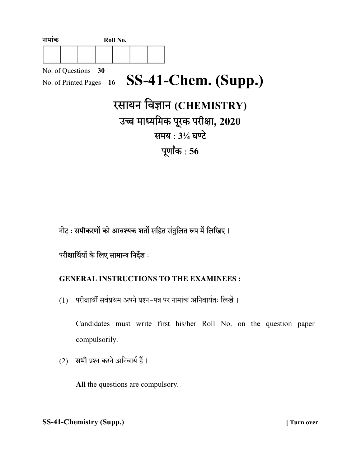| नामाक                                                |  | Roll No. |  |                                  |
|------------------------------------------------------|--|----------|--|----------------------------------|
|                                                      |  |          |  |                                  |
| No. of Questions $-30$<br>No. of Printed Pages $-16$ |  |          |  | SS-41-Chem. (Supp.)              |
|                                                      |  |          |  | रसायन विज्ञान (CHEMISTRY)        |
|                                                      |  |          |  | उच्च माध्यमिक पूरक परीक्षा, 2020 |
|                                                      |  |          |  | समय: 31/4 घण्टे                  |
|                                                      |  |          |  | पूर्णांक : 56                    |
|                                                      |  |          |  |                                  |

नोट : समीकरणों को आवश्यक शर्तों सहित संतुलित रूप में लिखिए।

# परीक्षार्थियों के लिए सामान्य निर्देश :

### GENERAL INSTRUCTIONS TO THE EXAMINEES :

(1) परीक्षार्थी सर्वप्रथम अपने प्रश्न-पत्र पर नामांक अनिवार्यतः लिखें।

Candidates must write first his/her Roll No. on the question paper compulsorily.

(2) सभी प्रश्न करने अनिवार्य हैं।

All the questions are compulsory.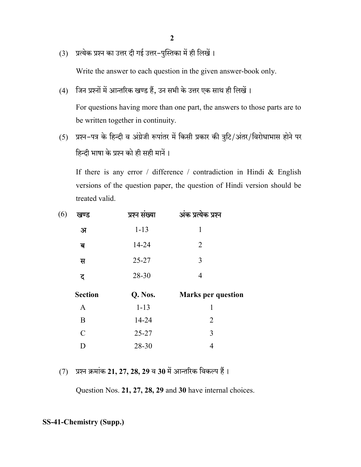(3) प्रत्येक प्रश्न का उत्तर दी गई उत्तर-पुस्तिका में ही लिखें।

Write the answer to each question in the given answer-book only.

(4) जिन प्रश्नों में आन्तरिक खण्ड हैं, उन सभी के उत्तर एक साथ ही लिखें।

For questions having more than one part, the answers to those parts are to be written together in continuity.

(5) प्रश्न-पत्र के हिन्दी व अंग्रेजी रूपांतर में किसी प्रकार की त्रुटि/अंतर/विरोधाभास होने पर हिन्दी भाषा के प्रश्न को ही सही मानें।

If there is any error / difference / contradiction in Hindi & English versions of the question paper, the question of Hindi version should be treated valid.

| अंक प्रत्येक प्रश्न       |
|---------------------------|
|                           |
|                           |
|                           |
|                           |
|                           |
| <b>Marks per question</b> |
|                           |
|                           |
|                           |
|                           |

 $(7)$  प्रश्न क्रमांक 21, 27, 28, 29 व 30 में आन्तरिक विकल्प हैं।

Question Nos. 21, 27, 28, 29 and 30 have internal choices.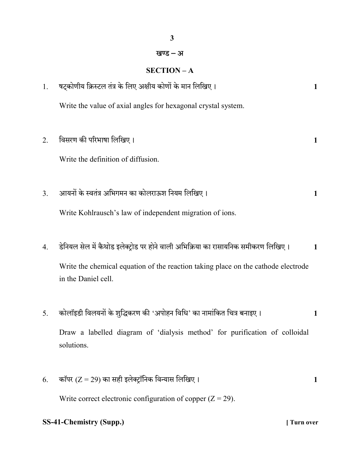### खण्ड – अ

3

## SECTION – A

| 1. | षट्कोणीय क्रिस्टल तंत्र के लिए अक्षीय कोणों के मान लिखिए।                                                | $\mathbf{1}$ |
|----|----------------------------------------------------------------------------------------------------------|--------------|
|    | Write the value of axial angles for hexagonal crystal system.                                            |              |
| 2. | विसरण की परिभाषा लिखिए।                                                                                  | 1            |
|    | Write the definition of diffusion.                                                                       |              |
| 3. | आयनों के स्वतंत्र अभिगमन का कोलराऊश नियम लिखिए।                                                          | 1            |
|    | Write Kohlrausch's law of independent migration of ions.                                                 |              |
| 4. | डेनियल सेल में कैथोड इलेक्ट्रोड पर होने वाली अभिक्रिया का रासायनिक समीकरण लिखिए।                         | 1            |
|    | Write the chemical equation of the reaction taking place on the cathode electrode<br>in the Daniel cell. |              |
| 5. | कोलॉइडी विलयनों के शुद्धिकरण की 'अपोहन विधि' का नामांकित चित्र बनाइए।                                    | 1            |
|    | Draw a labelled diagram of 'dialysis method' for purification of colloidal<br>solutions.                 |              |
| 6. | कॉपर (Z = 29) का सही इलेक्ट्रॉनिक विन्यास लिखिए।                                                         | 1            |
|    | Write correct electronic configuration of copper $(Z = 29)$ .                                            |              |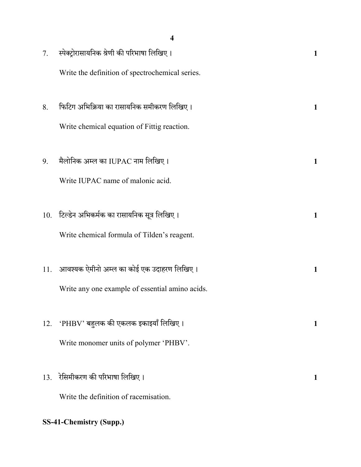|     | 4                                               |   |
|-----|-------------------------------------------------|---|
| 7.  | स्पेक्ट्रोरासायनिक श्रेणी की परिभाषा लिखिए।     | 1 |
|     | Write the definition of spectrochemical series. |   |
| 8.  | फिटिग अभिक्रिया का रासायनिक समीकरण लिखिए।       | 1 |
|     | Write chemical equation of Fittig reaction.     |   |
| 9.  | मैलोनिक अम्ल का IUPAC नाम लिखिए।                | 1 |
|     | Write IUPAC name of malonic acid.               |   |
| 10. | टिल्डेन अभिकर्मक का रासायनिक सूत्र लिखिए।       | 1 |
|     | Write chemical formula of Tilden's reagent.     |   |
| 11. | आवश्यक ऐमीनो अम्ल का कोई एक उदाहरण लिखिए।       | 1 |
|     | Write any one example of essential amino acids. |   |
| 12. | 'PHBV' बहुलक की एकलक इकाइयाँ लिखिए।             | 1 |
|     | Write monomer units of polymer 'PHBV'.          |   |
| 13. | रेसिमीकरण की परिभाषा लिखिए।                     | 1 |
|     | Write the definition of racemisation.           |   |
|     | <b>SS-41-Chemistry (Supp.)</b>                  |   |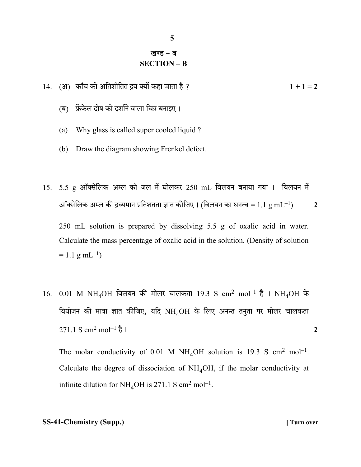## खण्ड – ब SECTION – B

- 14. (अ) काँच को अतिशीतित द्रव क्यों कहा जाता है ?
	- (ब) फ्रेंकेल दोष को दर्शाने वाला चित्र बनाइए।
	- (a) Why glass is called super cooled liquid ?
	- (b) Draw the diagram showing Frenkel defect.
- $15.$   $5.5$  g ऑक्सेलिक अम्ल को जल में घोलकर  $250$  mL विलयन बनाया गया। विलयन में आॅक्सेलिक अम्ल की द्रव्यमान प्रतिशतता ज्ञात कीजिए । (विलयन का घनत्व =  $1.1 \text{ g mL}^{-1}$ )  $2$  250 mL solution is prepared by dissolving 5.5 g of oxalic acid in water. Calculate the mass percentage of oxalic acid in the solution. (Density of solution

 $= 1.1$  g mL<sup>-1</sup>)

 $16.$  0.01 M NH<sub>4</sub>OH विलयन की मोलर चालकता 19.3 S cm<sup>2</sup> mol<sup>-1</sup> है । NH<sub>4</sub>OH के वियोजन की मात्रा ज्ञात कीजिए, यदि NH4OH के लिए अनन्त तनुता पर मोलर चालकता  $271.1 \text{ S cm}^2 \text{ mol}^{-1} \text{R}$  1

The molar conductivity of 0.01 M NH<sub>4</sub>OH solution is 19.3 S cm<sup>2</sup> mol<sup>-1</sup>. Calculate the degree of dissociation of  $NH<sub>4</sub>OH$ , if the molar conductivity at infinite dilution for  $NH_4OH$  is 271.1 S cm<sup>2</sup> mol<sup>-1</sup>.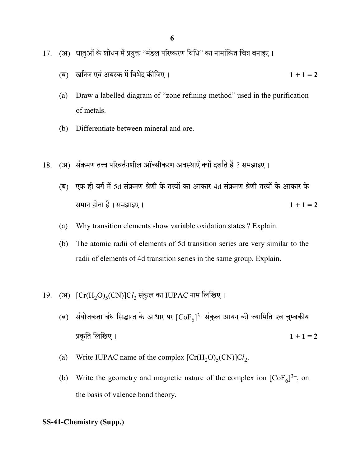- 17. (अ) धातुओं के शोधन में प्रयुक्त ''मंडल परिष्करण विधि'' का नामांकित चित्र बनाइए।
	- () 1 + 1 = 2
	- (a) Draw a labelled diagram of "zone refining method" used in the purification of metals.
	- (b) Differentiate between mineral and ore.
- 18. (अ) संक्रमण तत्त्व परिवर्तनशील ऑक्सीकरण अवस्थाएँ क्यों दर्शाते हैं ? समझाइए।
	- (ब) एक ही वर्ग में 5d संक्रमण श्रेणी के तत्त्वों का आकार 4d संक्रमण श्रेणी तत्त्वों के आकार के समान होता है। समझाइए । 2011 के साथ पर समान होता है। समझाइए ।
	- (a) Why transition elements show variable oxidation states ? Explain.
	- (b) The atomic radii of elements of 5d transition series are very similar to the radii of elements of 4d transition series in the same group. Explain.
- 19. (अ)  $\left[\text{Cr(H}_2\text{O})_{5}(\text{CN})\right]$ C $l_2$  संकुल का IUPAC नाम लिखिए।
	- (ब) संयोजकता बंध सिद्धान्त के आधार पर  $[\mathrm{CoF}_6]^{3-}$ संकुल आयन की ज्यामिति एवं चुम्बकीय प्रकृति लिखिए ।  $1 + 1 = 2$
- (a) Write IUPAC name of the complex  $[Cr(H<sub>2</sub>O)<sub>5</sub>(CN)]Cl<sub>2</sub>$ .
- (b) Write the geometry and magnetic nature of the complex ion  $[CoF_6]^{3-}$ , on the basis of valence bond theory.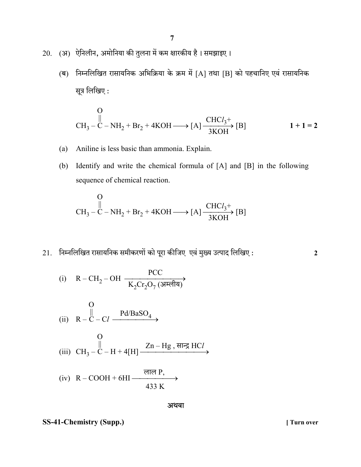- 20. (अ) ऐनिलीन, अमोनिया की तुलना में कम क्षारकीय है। समझाइए।
	- (ब) निम्नलिखित रासायनिक अभिक्रिया के क्रम में [A] तथा [B] को पहचानिए एवं रासायनिक सूत्र लिखिए:

$$
\text{CH}_{3} - \text{C} - \text{NH}_{2} + \text{Br}_{2} + 4\text{KOH} \longrightarrow \text{[A]} \xrightarrow[3\text{KOH}]{\text{CHC1}_{3}^{+}} \text{[B]} \qquad 1 + 1 = 2
$$

- (a) Aniline is less basic than ammonia. Explain.
- (b) Identify and write the chemical formula of [A] and [B] in the following sequence of chemical reaction.

$$
\text{CH}_3-\text{C}-\text{NH}_2 + \text{Br}_2 + 4\text{KOH} \longrightarrow \text{[A]} \xrightarrow[3 \text{KOH}]{\text{CHCl}_3^+} \text{[B]}
$$

 $21.$  निम्नलिखित रासायनिक समीकरणों को पूरा कीजिए एवं मुख्य उत्पाद लिखिए :  $\hspace{1.5cm}$ 

$$
\text{(i)} \quad \text{R}-\text{CH}_2-\text{OH} \xrightarrow[\text{K}_2\text{Cr}_2\text{O}_7 \text{ (31-1)2}]{} \text{PCC}
$$

(i) 
$$
R - C - Cl \xrightarrow{\text{Pd}/\text{BaSO}_4}
$$
  
\n(ii)  $CH_3 - C - H + 4[H] \xrightarrow{Zn - Hg, \text{HrZ HCl}}$ 

(iv) 
$$
R - COOH + 6HI \xrightarrow{\text{erine } P,}
$$
   
433 K

अथवा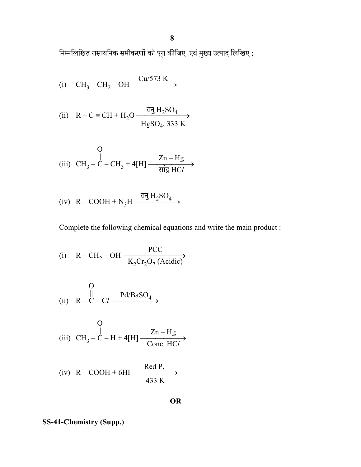निम्नलिखित रासायनिक समीकरणों को पूरा कीजिए एवं मुख्य उत्पाद लिखिए :

(i) 
$$
CH_3-CH_2-OH \xrightarrow{Cu/573 \text{ K}}
$$

(ii) 
$$
R - C \equiv CH + H_2O \xrightarrow{\overline{q}g H_2SO_4} H_2SO_4
$$
, 333 K

(iii) 
$$
CH_3 - C - CH_3 + 4[H] \xrightarrow{\text{Zn-Hg}} HCl
$$

(iv) 
$$
R - COOH + N_3H \xrightarrow{\overline{\sigma}_3 H_2SO_4}
$$

Complete the following chemical equations and write the main product :

(i) 
$$
R - CH_2 - OH \xrightarrow[K_2Cr_2O_7(Acidic))
$$

(i) 
$$
R - C - C l \xrightarrow{Pd/BaSO_4}
$$

(iii) 
$$
CH_3 - C - H + 4[H] \xrightarrow[Conc. HCl]{Zn-Hg}
$$

(iv) 
$$
R - COOH + 6HI \xrightarrow{\text{Red }P_2}
$$
  
433 K

OR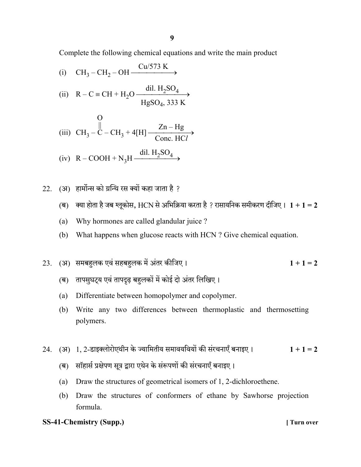Complete the following chemical equations and write the main product

(i) 
$$
CH_3-CH_2-OH \xrightarrow{Cu/573 \text{ K}}
$$

(ii) 
$$
R - C = CH + H_2O \xrightarrow{dil. H_2SO_4} HgSO_4, 333 \text{ K}
$$

(iii) 
$$
CH_3 - C - CH_3 + 4[H] \xrightarrow[Conc. HC]} \frac{Zn - Hg}{Cone. HC}
$$

(iv) 
$$
R - COOH + N_3H \xrightarrow{dil. H_2SO_4}
$$

22.  $(3)$  हार्मोन्स को ग्रन्थि रस क्यों कहा जाता है ?

- (ब) क्या होता है जब ग्लूकोस, HCN से अभिक्रिया करता है ? रासायनिक समीकरण दीजिए।  $1 + 1 = 2$
- (a) Why hormones are called glandular juice ?
- (b) What happens when glucose reacts with HCN ? Give chemical equation.

23. (अ) समबहलक एवं सहबहलक में अंतर कीजिए।  $1 + 1 = 2$ 

- (ब) तापसुघट्य एवं तापद्रढ़ बहुलकों में कोई दो अंतर लिखिए।
- (a) Differentiate between homopolymer and copolymer.
- (b) Write any two differences between thermoplastic and thermosetting polymers.
- 24. (अ) 1, 2-डाइक्लोरोएथीन के ज्यामितीय समावयवियों की संरचनाएँ बनाइए।  $1 + 1 = 2$ 
	- (ब) सॉहार्स प्रक्षेपण सूत्र द्वारा एथेन के संरूपणों की संरचनाएँ बनाइए।
	- (a) Draw the structures of geometrical isomers of 1, 2-dichloroethene.
	- (b) Draw the structures of conformers of ethane by Sawhorse projection formula.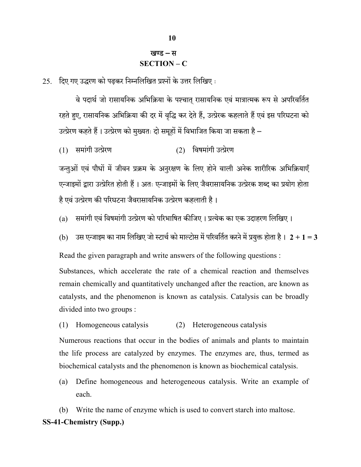## खण्ड – स SECTION – C

 $25.$  दिए गए उद्धरण को पढकर निम्नलिखित प्रश्नों के उत्तर लिखिए:

वे पदार्थ जो रासायनिक अभिक्रिया के पश्चात् रासायनिक एवं मात्रात्मक रूप से अपरिवर्तित रहते हुए, रासायनिक अभिक्रिया की दर में वृद्धि कर देते हैं, उत्प्रेरक कहलाते हैं एवं इस परिघटना को उत्प्रेरण कहते हैं। उत्प्रेरण को मुख्यतः दो समूहों में विभाजित किया जा सकता है –

 $(1)$  समांगी उत्प्रेरण  $(2)$  विषमांगी उत्प्रेरण

जन्तुओं एवं पौधों में जीवन प्रक्रम के अनुरक्षण के लिए होने वाली अनेक शारीरिक अभिक्रियाएँ एन्जाइमों द्वारा उत्प्रेरित होती हैं। अतः एन्जाइमों के लिए जैवरासायनिक उत्प्रेरक शब्द का प्रयोग होता है एवं उत्प्रेरण की परिघटना जैवरासायनिक उत्प्रेरण कहलाती है।

(a) समांगी एवं विषमांगी उत्प्रेरण को परिभाषित कीजिए । प्रत्येक का एक उदाहरण लिखिए ।

(b) उस एन्जाइम का नाम लिखिए जो स्टार्च को माल्टोस में परिवर्तित करने में प्रयुक्त होता है।  $2 + 1 = 3$ 

Read the given paragraph and write answers of the following questions :

 Substances, which accelerate the rate of a chemical reaction and themselves remain chemically and quantitatively unchanged after the reaction, are known as catalysts, and the phenomenon is known as catalysis. Catalysis can be broadly divided into two groups :

(1) Homogeneous catalysis (2) Heterogeneous catalysis

 Numerous reactions that occur in the bodies of animals and plants to maintain the life process are catalyzed by enzymes. The enzymes are, thus, termed as biochemical catalysts and the phenomenon is known as biochemical catalysis.

 (a) Define homogeneous and heterogeneous catalysis. Write an example of each.

SS-41-Chemistry (Supp.) (b) Write the name of enzyme which is used to convert starch into maltose.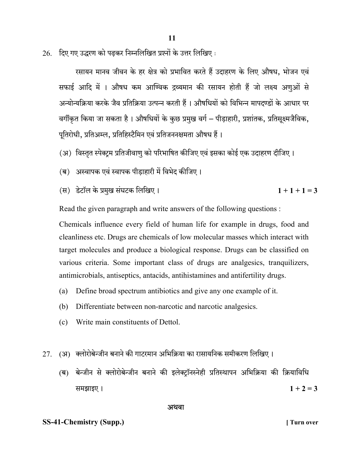$26.$  दिए गए उद्धरण को पढ़कर निम्नलिखित प्रश्नों के उत्तर लिखिए:

रसायन मानव जीवन के हर क्षेत्र को प्रभावित करते हैं उदाहरण के लिए औषध. भोजन एवं सफाई आदि में । औषध कम आण्विक द्रव्यमान की रसायन होती हैं जो लक्ष्य अणुओं से अन्योन्यक्रिया करके जैव प्रतिक्रिया उत्पन्न करती हैं । औषधियों को विभिन्न मापदण्डों के आधार पर वर्गीकृत किया जा सकता है। औषधियों के कुछ प्रमुख वर्ग – पीड़ाहारी, प्रशांतक, प्रतिसूक्ष्मजैविक, पूतिरोधी, प्रतिअम्ल, प्रतिहिस्टैमिन एवं प्रतिजननक्षमता औषध हैं।

- (अ) विस्तृत स्पेक्टम प्रतिजीवाणु को परिभाषित कीजिए एवं इसका कोई एक उदाहरण दीजिए।
- (ब) अस्वापक एवं स्वापक पीड़ाहारी में विभेद कीजिए।
- (स) डेटॉल के प्रमुख संघटक लिखिए।  $1 + 1 + 1 = 3$

Read the given paragraph and write answers of the following questions :

 Chemicals influence every field of human life for example in drugs, food and cleanliness etc. Drugs are chemicals of low molecular masses which interact with target molecules and produce a biological response. Drugs can be classified on various criteria. Some important class of drugs are analgesics, tranquilizers, antimicrobials, antiseptics, antacids, antihistamines and antifertility drugs.

- (a) Define broad spectrum antibiotics and give any one example of it.
- (b) Differentiate between non-narcotic and narcotic analgesics.
- (c) Write main constituents of Dettol.
- 27.  $(3)$  क्लोरोबेन्जीन बनाने की गाटरमान अभिक्रिया का रासायनिक समीकरण लिखिए।
	- (ब) बेन्जीन से क्लोरोबेन्जीन बनाने की इलेक्ट्रॉनस्नेही प्रतिस्थापन अभिक्रिया की क्रियाविधि समझाइए ।  $1 + 2 = 3$

#### अथवा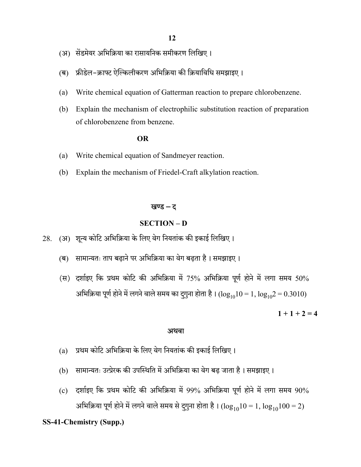- (अ) सेंडमेयर अभिक्रिया का रासायनिक समीकरण लिखिए।
- (ब) फ्रीडेल-क्राफ्ट ऐल्किलीकरण अभिक्रिया की क्रियाविधि समझाइए।
- (a) Write chemical equation of Gatterman reaction to prepare chlorobenzene.
- (b) Explain the mechanism of electrophilic substitution reaction of preparation of chlorobenzene from benzene.

#### **OR** OR

- (a) Write chemical equation of Sandmeyer reaction.
- (b) Explain the mechanism of Friedel-Craft alkylation reaction.

#### खण्ड – द

#### SECTION – D

28. (अ) शून्य कोटि अभिक्रिया के लिए वेग नियतांक की इकाई लिखिए।

- (ब) सामान्यतः ताप बढ़ाने पर अभिक्रिया का वेग बढ़ता है। समझाइए।
- (स) दर्शाइए कि प्रथम कोटि की अभिक्रिया में 75% अभिक्रिया पूर्ण होने में लगा समय 50% अभिक्रिया पूर्ण होने में लगने वाले समय का दुगुना होता है।  $(log_{10}10 = 1, log_{10}2 = 0.3010)$

 $1 + 1 + 2 = 4$ 

#### अथवा

- (a) प्रथम कोटि अभिक्रिया के लिए वेग नियतांक की इकाई लिखिए।
- (b) सामान्यतः उत्प्रेरक की उपस्थिति में अभिक्रिया का वेग बढ़ जाता है। समझाइए।
- $(c)$  दर्शाइए कि प्रथम कोटि की अभिक्रिया में 99% अभिक्रिया पूर्ण होने में लगा समय 90% अभिक्रिया पूर्ण होने में लगने वाले समय से दुगुना होता है।  $(\log_{10}10 = 1, \log_{10}100 = 2)$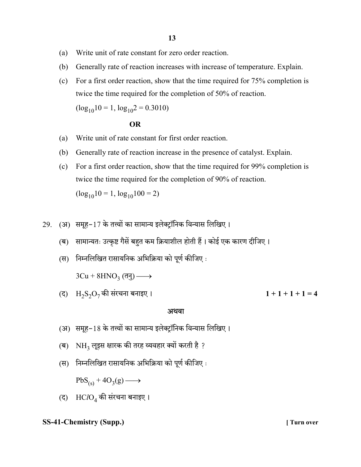- (a) Write unit of rate constant for zero order reaction.
- (b) Generally rate of reaction increases with increase of temperature. Explain.
- (c) For a first order reaction, show that the time required for 75% completion is twice the time required for the completion of 50% of reaction.

 $(log_{10}10 = 1, log_{10}2 = 0.3010)$ 

#### **OR** OR

- (a) Write unit of rate constant for first order reaction.
- (b) Generally rate of reaction increase in the presence of catalyst. Explain.
- (c) For a first order reaction, show that the time required for 99% completion is twice the time required for the completion of 90% of reaction.  $(log_{10}10 = 1, log_{10}100 = 2)$
- $29.$  (अ) समूह-17 के तत्त्वों का सामान्य इलेक्टॉनिक विन्यास लिखिए।
	- (ब) सामान्यतः उत्कृष्ट गैसें बहुत कम क्रियाशील होती हैं। कोई एक कारण दीजिए।
	- (स) निम्नलिखित रासायनिक अभिक्रिया को पूर्ण कीजिए:

 $3Cu + 8HNO<sub>3</sub>$  (तनु) ——

(द)  $H_2S_2O_7$ की संरचना बनाइए।<br>1 + 1 + 1 + 1 = 4

#### अथवा

- (अ) समूह-18 के तत्त्वों का सामान्य इलेक्टॉनिक विन्यास लिखिए।
- $\sigma$ ) NH<sub>2</sub> लुइस क्षारक की तरह व्यवहार क्यों करती है ?
- (स) निम्नलिखित रासायनिक अभिक्रिया को पूर्ण कीजिए:

 $PbS_{(s)} + 4O_3(g) \longrightarrow$ 

(द)  $HClO<sub>4</sub>$  की संरचना बनाइए।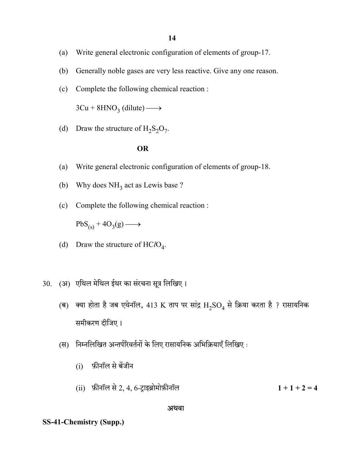- (a) Write general electronic configuration of elements of group-17.
- (b) Generally noble gases are very less reactive. Give any one reason.
- (c) Complete the following chemical reaction :

 $3Cu + 8HNO<sub>3</sub>$  (dilute)  $\longrightarrow$ 

(d) Draw the structure of  $H_2S_2O_7$ .

#### OR

- (a) Write general electronic configuration of elements of group-18.
- (b) Why does  $NH<sub>3</sub>$  act as Lewis base ?
	- (c) Complete the following chemical reaction :

 $PbS_{(s)} + 4O_3(g) \longrightarrow$ 

- (d) Draw the structure of  $HClO<sub>4</sub>$ .
- 30. (अ) एथिल मेथिल ईथर का संरचना सूत्र लिखिए।
	- (ब) क्या होता है जब एथेनॉल, 413 K ताप पर सांद्र  $H_2SO_4$  से क्रिया करता है ? रासायनिक समीकरण दीजिए।
	- (स) निम्नलिखित अन्तर्परिवर्तनों के लिए रासायनिक अभिक्रियाएँ लिखिए:
		- (i)
		- (ii) फ़ीनॉल से 2, 4, 6-ट्राइब्रोमोफ़ीनॉल  $1 + 1 + 2 = 4$

#### अथवा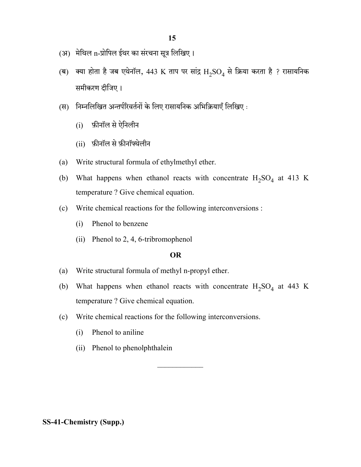- $(3)$  मेथिल n-प्रोपिल ईथर का संरचना सूत्र लिखिए।
- (ब) क्या होता है जब एथेनॉल, 443 K ताप पर सांद्र  $\rm H_2SO_4$  से क्रिया करता है ? रासायनिक समीकरण दीजिए।
- (स) निम्नलिखित अन्तर्परिवर्तनों के लिए रासायनिक अभिक्रियाएँ लिखिए:
	- (i)
	- (ii) फ़ीनॉल से फ़ीनॉफ्थेलीन
- (a) Write structural formula of ethylmethyl ether.
- (b) What happens when ethanol reacts with concentrate  $H_2SO_4$  at 413 K temperature ? Give chemical equation.
	- (c) Write chemical reactions for the following interconversions :
		- (i) Phenol to benzene
		- (ii) Phenol to 2, 4, 6-tribromophenol

#### OR

- (a) Write structural formula of methyl n-propyl ether.
- (b) What happens when ethanol reacts with concentrate  $H_2SO_4$  at 443 K temperature ? Give chemical equation.
	- (c) Write chemical reactions for the following interconversions.
		- (i) Phenol to aniline
		- (ii) Phenol to phenolphthalein